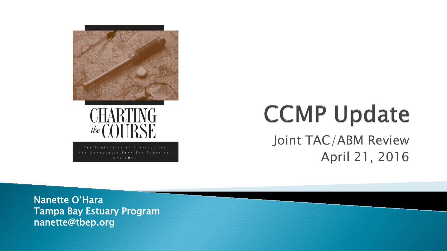

# **CCMP Update** Joint TAC/ABM Review April 21, 2016

Nanette O'Hara Tampa Bay Estuary Program nanette@tbep.org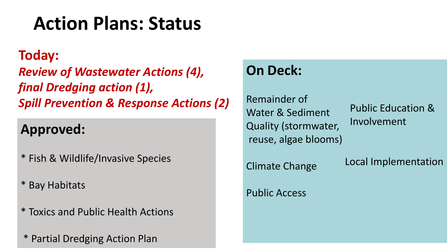# **Action Plans: Status**

#### **Today:**

*Review of Wastewater Actions (4), final Dredging action (1), Spill Prevention & Response Actions (2)*

#### **Approved:**

- \* Fish & Wildlife/Invasive Species
- \* Bay Habitats
- \* Toxics and Public Health Actions
- \* Partial Dredging Action Plan

#### **On Deck:**

Remainder of Water & Sediment Quality (stormwater, reuse, algae blooms)

Public Education & Involvement

Climate Change

Local Implementation

Public Access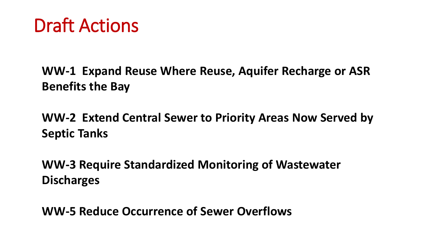## Draft Actions

**WW-1 Expand Reuse Where Reuse, Aquifer Recharge or ASR Benefits the Bay**

**WW-2 Extend Central Sewer to Priority Areas Now Served by Septic Tanks** 

**WW-3 Require Standardized Monitoring of Wastewater Discharges**

**WW-5 Reduce Occurrence of Sewer Overflows**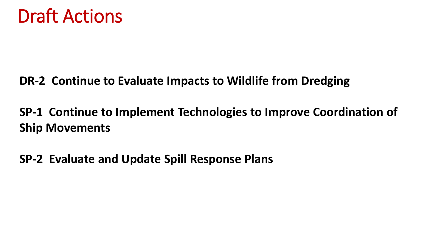

#### **DR-2 Continue to Evaluate Impacts to Wildlife from Dredging**

#### **SP-1 Continue to Implement Technologies to Improve Coordination of Ship Movements**

#### **SP-2 Evaluate and Update Spill Response Plans**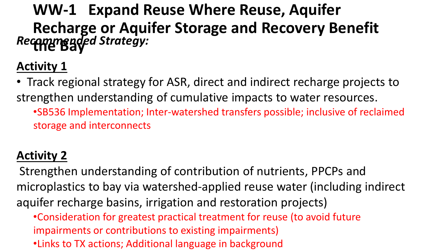## **WW-1 Expand Reuse Where Reuse, Aquifer Recharge or Aquifer Storage and Recovery Benefit the Bay** *Recommended Strategy:*

#### **Activity 1**

• Track regional strategy for ASR, direct and indirect recharge projects to strengthen understanding of cumulative impacts to water resources.

•SB536 Implementation; Inter-watershed transfers possible; inclusive of reclaimed storage and interconnects

#### **Activity 2**

Strengthen understanding of contribution of nutrients, PPCPs and microplastics to bay via watershed-applied reuse water (including indirect aquifer recharge basins, irrigation and restoration projects)

- •Consideration for greatest practical treatment for reuse (to avoid future impairments or contributions to existing impairments)
- •Links to TX actions; Additional language in background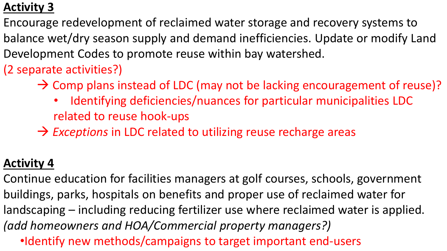#### **Activity 3**

Encourage redevelopment of reclaimed water storage and recovery systems to balance wet/dry season supply and demand inefficiencies. Update or modify Land Development Codes to promote reuse within bay watershed.

(2 separate activities?)

- $\rightarrow$  Comp plans instead of LDC (may not be lacking encouragement of reuse)?
	- Identifying deficiencies/nuances for particular municipalities LDC related to reuse hook-ups
- → Exceptions in LDC related to utilizing reuse recharge areas

#### **Activity 4**

- Continue education for facilities managers at golf courses, schools, government buildings, parks, hospitals on benefits and proper use of reclaimed water for landscaping – including reducing fertilizer use where reclaimed water is applied. *(add homeowners and HOA/Commercial property managers?)*
	- •Identify new methods/campaigns to target important end-users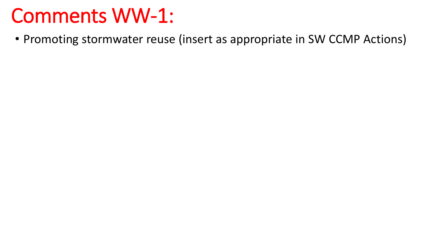# Comments WW-1:

• Promoting stormwater reuse (insert as appropriate in SW CCMP Actions)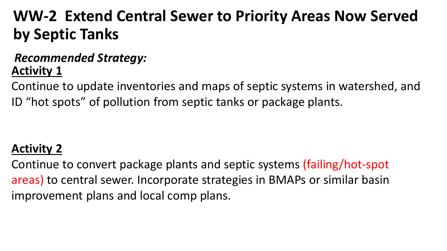## **WW-2 Extend Central Sewer to Priority Areas Now Served by Septic Tanks**

#### **Activity 1** *Recommended Strategy:*

Continue to update inventories and maps of septic systems in watershed, and ID "hot spots" of pollution from septic tanks or package plants.

#### **Activity 2**

Continue to convert package plants and septic systems (failing/hot-spot areas) to central sewer. Incorporate strategies in BMAPs or similar basin improvement plans and local comp plans.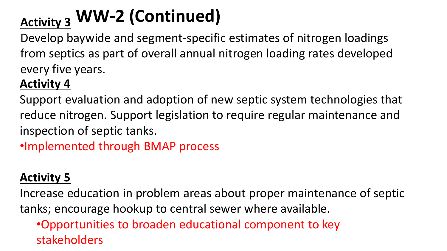# **WW-2 (Continued) Activity 3**

Develop baywide and segment-specific estimates of nitrogen loadings from septics as part of overall annual nitrogen loading rates developed every five years.

#### **Activity 4**

Support evaluation and adoption of new septic system technologies that reduce nitrogen. Support legislation to require regular maintenance and inspection of septic tanks.

•Implemented through BMAP process

#### **Activity 5**

Increase education in problem areas about proper maintenance of septic tanks; encourage hookup to central sewer where available.

•Opportunities to broaden educational component to key stakeholders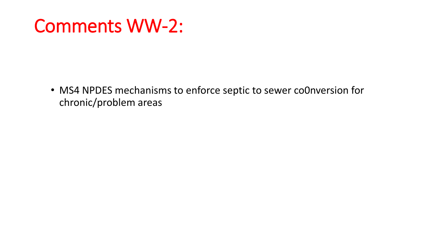## Comments WW-2:

• MS4 NPDES mechanisms to enforce septic to sewer co0nversion for chronic/problem areas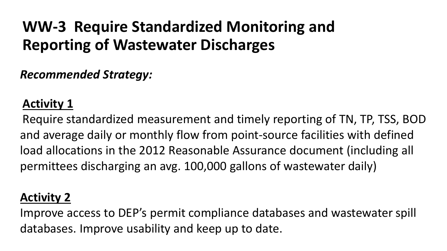## **WW-3 Require Standardized Monitoring and Reporting of Wastewater Discharges**

*Recommended Strategy:*

#### **Activity 1**

Require standardized measurement and timely reporting of TN, TP, TSS, BOD and average daily or monthly flow from point-source facilities with defined load allocations in the 2012 Reasonable Assurance document (including all permittees discharging an avg. 100,000 gallons of wastewater daily)

#### **Activity 2**

Improve access to DEP's permit compliance databases and wastewater spill databases. Improve usability and keep up to date.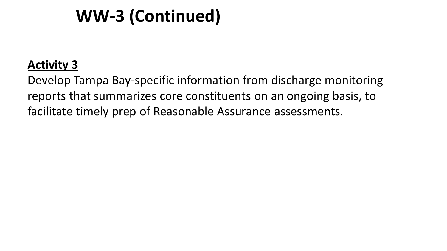## **WW-3 (Continued)**

#### **Activity 3**

Develop Tampa Bay-specific information from discharge monitoring reports that summarizes core constituents on an ongoing basis, to facilitate timely prep of Reasonable Assurance assessments.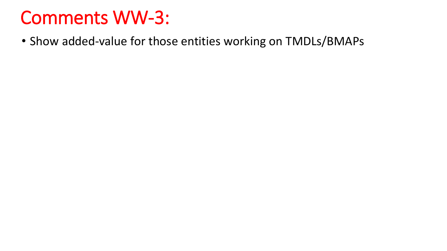# Comments WW-3:

• Show added-value for those entities working on TMDLs/BMAPs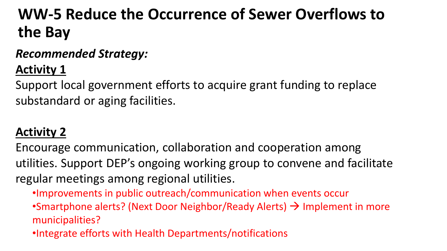## **WW-5 Reduce the Occurrence of Sewer Overflows to the Bay**

#### *Recommended Strategy:*

**Activity 1**

Support local government efforts to acquire grant funding to replace substandard or aging facilities.

#### **Activity 2**

Encourage communication, collaboration and cooperation among utilities. Support DEP's ongoing working group to convene and facilitate regular meetings among regional utilities.

•Improvements in public outreach/communication when events occur

•Smartphone alerts? (Next Door Neighbor/Ready Alerts)  $\rightarrow$  Implement in more municipalities?

•Integrate efforts with Health Departments/notifications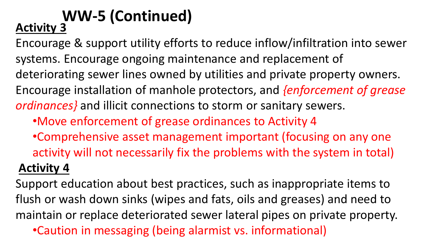# **WW-5 (Continued) Activity 3**

Encourage & support utility efforts to reduce inflow/infiltration into sewer systems. Encourage ongoing maintenance and replacement of deteriorating sewer lines owned by utilities and private property owners. Encourage installation of manhole protectors, and *{enforcement of grease ordinances}* and illicit connections to storm or sanitary sewers.

•Move enforcement of grease ordinances to Activity 4

•Comprehensive asset management important (focusing on any one activity will not necessarily fix the problems with the system in total) **Activity 4**

Support education about best practices, such as inappropriate items to flush or wash down sinks (wipes and fats, oils and greases) and need to maintain or replace deteriorated sewer lateral pipes on private property.

•Caution in messaging (being alarmist vs. informational)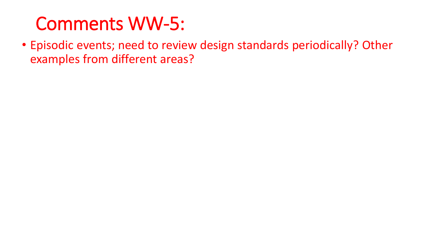# Comments WW-5:

• Episodic events; need to review design standards periodically? Other examples from different areas?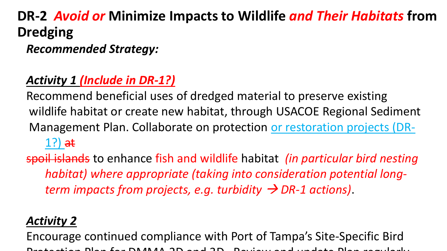### **DR-2** *Avoid or* **Minimize Impacts to Wildlife** *and Their Habitats* **from Dredging**

*Recommended Strategy:*

#### *Activity 1 (Include in DR-1?)*

Recommend beneficial uses of dredged material to preserve existing wildlife habitat or create new habitat, through USACOE Regional Sediment Management Plan. Collaborate on protection or restoration projects (DR- $1$ ?) at

spoil islands to enhance fish and wildlife habitat *(in particular bird nesting habitat) where appropriate (taking into consideration potential longterm impacts from projects, e.g. turbidity*  $\rightarrow$  *DR-1 actions*).

#### *Activity 2*

Encourage continued compliance with Port of Tampa's Site-Specific Bird Protection Plan for DMMA 2D and 3D Review and update Plan regularly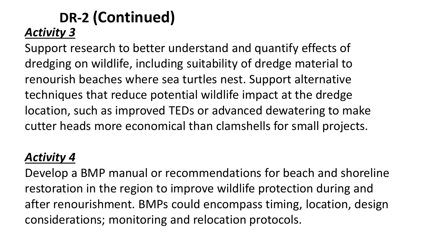#### **DR-2 (Continued)** *Activity 3*

Support research to better understand and quantify effects of dredging on wildlife, including suitability of dredge material to renourish beaches where sea turtles nest. Support alternative techniques that reduce potential wildlife impact at the dredge location, such as improved TEDs or advanced dewatering to make cutter heads more economical than clamshells for small projects.

#### *Activity 4*

Develop a BMP manual or recommendations for beach and shoreline restoration in the region to improve wildlife protection during and after renourishment. BMPs could encompass timing, location, design considerations; monitoring and relocation protocols.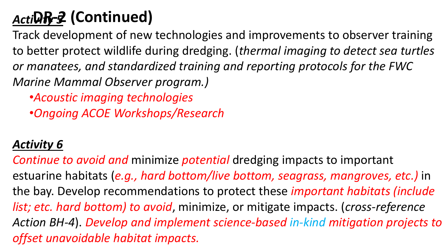## *Activity 5* **DR-2 (Continued)**

Track development of new technologies and improvements to observer training to better protect wildlife during dredging. (*thermal imaging to detect sea turtles or manatees, and standardized training and reporting protocols for the FWC Marine Mammal Observer program.)* 

•*Acoustic imaging technologies*

•*Ongoing ACOE Workshops/Research* 

#### *Activity 6*

*Continue to avoid and* minimize *potential* dredging impacts to important estuarine habitats (*e.g., hard bottom/live bottom, seagrass, mangroves, etc.)* in the bay. Develop recommendations to protect these *important habitats (include list; etc. hard bottom) to avoid*, minimize, or mitigate impacts. (*cross-reference Action BH-4*). *Develop and implement science-based in-kind mitigation projects to offset unavoidable habitat impacts.*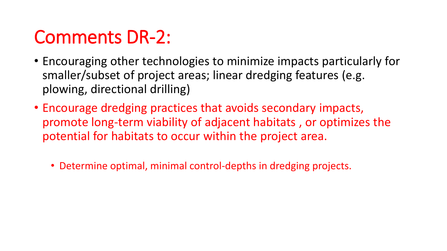# Comments DR-2:

- Encouraging other technologies to minimize impacts particularly for smaller/subset of project areas; linear dredging features (e.g. plowing, directional drilling)
- Encourage dredging practices that avoids secondary impacts, promote long-term viability of adjacent habitats , or optimizes the potential for habitats to occur within the project area.
	- Determine optimal, minimal control-depths in dredging projects.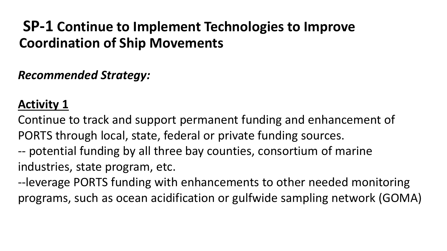#### **SP-1 Continue to Implement Technologies to Improve Coordination of Ship Movements**

*Recommended Strategy:*

#### **Activity 1**

Continue to track and support permanent funding and enhancement of PORTS through local, state, federal or private funding sources. -- potential funding by all three bay counties, consortium of marine industries, state program, etc.

--leverage PORTS funding with enhancements to other needed monitoring programs, such as ocean acidification or gulfwide sampling network (GOMA)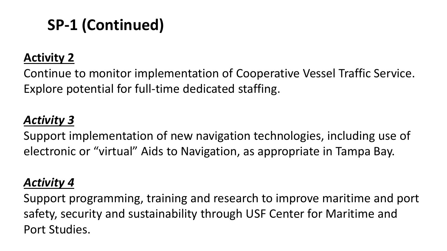## **SP-1 (Continued)**

#### **Activity 2**

Continue to monitor implementation of Cooperative Vessel Traffic Service. Explore potential for full-time dedicated staffing.

#### *Activity 3*

Support implementation of new navigation technologies, including use of electronic or "virtual" Aids to Navigation, as appropriate in Tampa Bay.

#### *Activity 4*

Support programming, training and research to improve maritime and port safety, security and sustainability through USF Center for Maritime and Port Studies.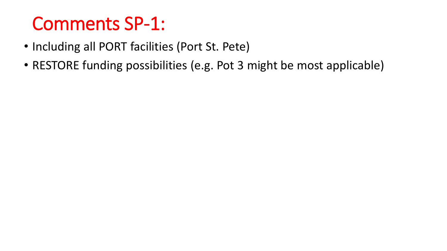# Comments SP-1:

- Including all PORT facilities (Port St. Pete)
- RESTORE funding possibilities (e.g. Pot 3 might be most applicable)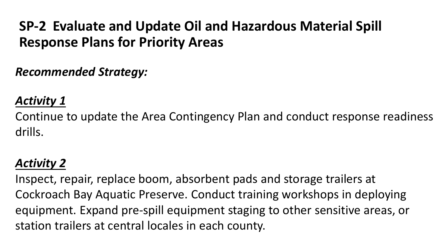#### **SP-2 Evaluate and Update Oil and Hazardous Material Spill Response Plans for Priority Areas**

#### *Recommended Strategy:*

#### *Activity 1*

Continue to update the Area Contingency Plan and conduct response readiness drills.

#### *Activity 2*

Inspect, repair, replace boom, absorbent pads and storage trailers at Cockroach Bay Aquatic Preserve. Conduct training workshops in deploying equipment. Expand pre-spill equipment staging to other sensitive areas, or station trailers at central locales in each county.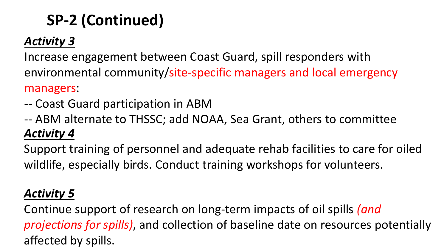## **SP-2 (Continued)**

#### *Activity 3*

Increase engagement between Coast Guard, spill responders with environmental community/site-specific managers and local emergency managers:

- -- Coast Guard participation in ABM
- *Activity 4* -- ABM alternate to THSSC; add NOAA, Sea Grant, others to committee

Support training of personnel and adequate rehab facilities to care for oiled wildlife, especially birds. Conduct training workshops for volunteers.

#### *Activity 5*

Continue support of research on long-term impacts of oil spills *(and projections for spills)*, and collection of baseline date on resources potentially affected by spills.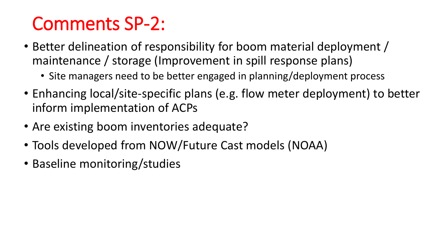# Comments SP-2:

- Better delineation of responsibility for boom material deployment / maintenance / storage (Improvement in spill response plans)
	- Site managers need to be better engaged in planning/deployment process
- Enhancing local/site-specific plans (e.g. flow meter deployment) to better inform implementation of ACPs
- Are existing boom inventories adequate?
- Tools developed from NOW/Future Cast models (NOAA)
- Baseline monitoring/studies